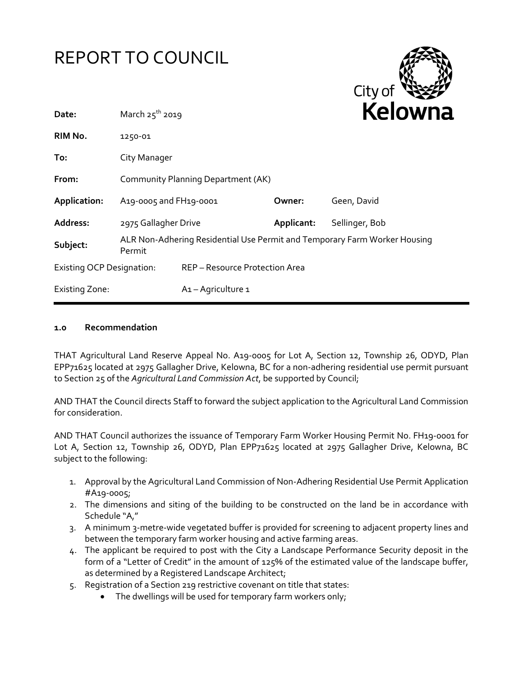



| Date:                            | March $25^{th}$ 2019                                                                |                                |            | <b>Relown</b>  |
|----------------------------------|-------------------------------------------------------------------------------------|--------------------------------|------------|----------------|
| RIM No.                          | 1250-01                                                                             |                                |            |                |
| To:                              | City Manager                                                                        |                                |            |                |
| From:                            | Community Planning Department (AK)                                                  |                                |            |                |
| Application:                     | A19-0005 and FH19-0001                                                              |                                | Owner:     | Geen, David    |
| Address:                         | 2975 Gallagher Drive                                                                |                                | Applicant: | Sellinger, Bob |
| Subject:                         | ALR Non-Adhering Residential Use Permit and Temporary Farm Worker Housing<br>Permit |                                |            |                |
| <b>Existing OCP Designation:</b> |                                                                                     | REP - Resource Protection Area |            |                |
| <b>Existing Zone:</b>            |                                                                                     | A <sub>1</sub> - Agriculture 1 |            |                |

#### **1.0 Recommendation**

THAT Agricultural Land Reserve Appeal No. A19-0005 for Lot A, Section 12, Township 26, ODYD, Plan EPP71625 located at 2975 Gallagher Drive, Kelowna, BC for a non-adhering residential use permit pursuant to Section 25 of the *Agricultural Land Commission Act*, be supported by Council;

AND THAT the Council directs Staff to forward the subject application to the Agricultural Land Commission for consideration.

AND THAT Council authorizes the issuance of Temporary Farm Worker Housing Permit No. FH19-0001 for Lot A, Section 12, Township 26, ODYD, Plan EPP71625 located at 2975 Gallagher Drive, Kelowna, BC subject to the following:

- 1. Approval by the Agricultural Land Commission of Non-Adhering Residential Use Permit Application #A19-0005;
- 2. The dimensions and siting of the building to be constructed on the land be in accordance with Schedule "A,"
- 3. A minimum 3-metre-wide vegetated buffer is provided for screening to adjacent property lines and between the temporary farm worker housing and active farming areas.
- 4. The applicant be required to post with the City a Landscape Performance Security deposit in the form of a "Letter of Credit" in the amount of 125% of the estimated value of the landscape buffer, as determined by a Registered Landscape Architect;
- 5. Registration of a Section 219 restrictive covenant on title that states:
	- The dwellings will be used for temporary farm workers only;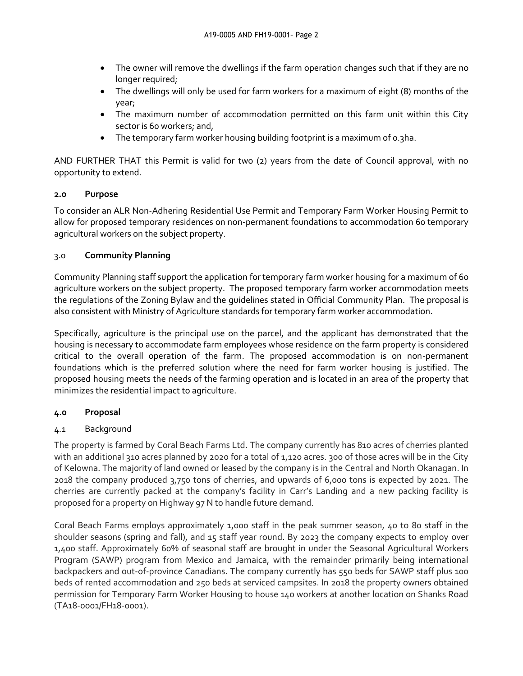- The owner will remove the dwellings if the farm operation changes such that if they are no longer required;
- The dwellings will only be used for farm workers for a maximum of eight (8) months of the year;
- The maximum number of accommodation permitted on this farm unit within this City sector is 60 workers; and,
- The temporary farm worker housing building footprint is a maximum of 0.3ha.

AND FURTHER THAT this Permit is valid for two (2) years from the date of Council approval, with no opportunity to extend.

# **2.0 Purpose**

To consider an ALR Non-Adhering Residential Use Permit and Temporary Farm Worker Housing Permit to allow for proposed temporary residences on non-permanent foundations to accommodation 60 temporary agricultural workers on the subject property.

### 3.0 **Community Planning**

Community Planning staff support the application for temporary farm worker housing for a maximum of 60 agriculture workers on the subject property. The proposed temporary farm worker accommodation meets the regulations of the Zoning Bylaw and the guidelines stated in Official Community Plan. The proposal is also consistent with Ministry of Agriculture standards for temporary farm worker accommodation.

Specifically, agriculture is the principal use on the parcel, and the applicant has demonstrated that the housing is necessary to accommodate farm employees whose residence on the farm property is considered critical to the overall operation of the farm. The proposed accommodation is on non-permanent foundations which is the preferred solution where the need for farm worker housing is justified. The proposed housing meets the needs of the farming operation and is located in an area of the property that minimizes the residential impact to agriculture.

# **4.0 Proposal**

# 4.1 Background

The property is farmed by Coral Beach Farms Ltd. The company currently has 810 acres of cherries planted with an additional 310 acres planned by 2020 for a total of 1,120 acres. 300 of those acres will be in the City of Kelowna. The majority of land owned or leased by the company is in the Central and North Okanagan. In 2018 the company produced 3,750 tons of cherries, and upwards of 6,000 tons is expected by 2021. The cherries are currently packed at the company's facility in Carr's Landing and a new packing facility is proposed for a property on Highway 97 N to handle future demand.

Coral Beach Farms employs approximately 1,000 staff in the peak summer season, 40 to 80 staff in the shoulder seasons (spring and fall), and 15 staff year round. By 2023 the company expects to employ over 1,400 staff. Approximately 60% of seasonal staff are brought in under the Seasonal Agricultural Workers Program (SAWP) program from Mexico and Jamaica, with the remainder primarily being international backpackers and out-of-province Canadians. The company currently has 550 beds for SAWP staff plus 100 beds of rented accommodation and 250 beds at serviced campsites. In 2018 the property owners obtained permission for Temporary Farm Worker Housing to house 140 workers at another location on Shanks Road (TA18-0001/FH18-0001).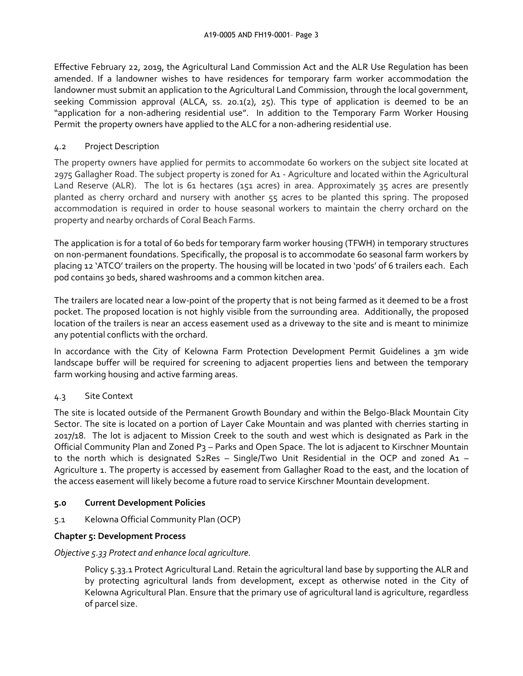Effective February 22, 2019, the Agricultural Land Commission Act and the ALR Use Regulation has been amended. If a landowner wishes to have residences for temporary farm worker accommodation the landowner must submit an application to the Agricultural Land Commission, through the local government, seeking Commission approval (ALCA, ss. 20.1(2), 25). This type of application is deemed to be an "application for a non-adhering residential use". In addition to the Temporary Farm Worker Housing Permit the property owners have applied to the ALC for a non-adhering residential use.

### 4.2 Project Description

The property owners have applied for permits to accommodate 60 workers on the subject site located at 2975 Gallagher Road. The subject property is zoned for A1 - Agriculture and located within the Agricultural Land Reserve (ALR). The lot is 61 hectares (151 acres) in area. Approximately 35 acres are presently planted as cherry orchard and nursery with another 55 acres to be planted this spring. The proposed accommodation is required in order to house seasonal workers to maintain the cherry orchard on the property and nearby orchards of Coral Beach Farms.

The application is for a total of 60 beds for temporary farm worker housing (TFWH) in temporary structures on non-permanent foundations. Specifically, the proposal is to accommodate 60 seasonal farm workers by placing 12 'ATCO' trailers on the property. The housing will be located in two 'pods' of 6 trailers each. Each pod contains 30 beds, shared washrooms and a common kitchen area.

The trailers are located near a low-point of the property that is not being farmed as it deemed to be a frost pocket. The proposed location is not highly visible from the surrounding area. Additionally, the proposed location of the trailers is near an access easement used as a driveway to the site and is meant to minimize any potential conflicts with the orchard.

In accordance with the City of Kelowna Farm Protection Development Permit Guidelines a 3m wide landscape buffer will be required for screening to adjacent properties liens and between the temporary farm working housing and active farming areas.

# 4.3 Site Context

The site is located outside of the Permanent Growth Boundary and within the Belgo-Black Mountain City Sector. The site is located on a portion of Layer Cake Mountain and was planted with cherries starting in 2017/18. The lot is adjacent to Mission Creek to the south and west which is designated as Park in the Official Community Plan and Zoned P3 – Parks and Open Space. The lot is adjacent to Kirschner Mountain to the north which is designated S2Res – Single/Two Unit Residential in the OCP and zoned A1 – Agriculture 1. The property is accessed by easement from Gallagher Road to the east, and the location of the access easement will likely become a future road to service Kirschner Mountain development.

### **5.0 Current Development Policies**

5.1 Kelowna Official Community Plan (OCP)

# **Chapter 5: Development Process**

### *Objective 5.33 Protect and enhance local agriculture.*

Policy 5.33.1 Protect Agricultural Land. Retain the agricultural land base by supporting the ALR and by protecting agricultural lands from development, except as otherwise noted in the City of Kelowna Agricultural Plan. Ensure that the primary use of agricultural land is agriculture, regardless of parcel size.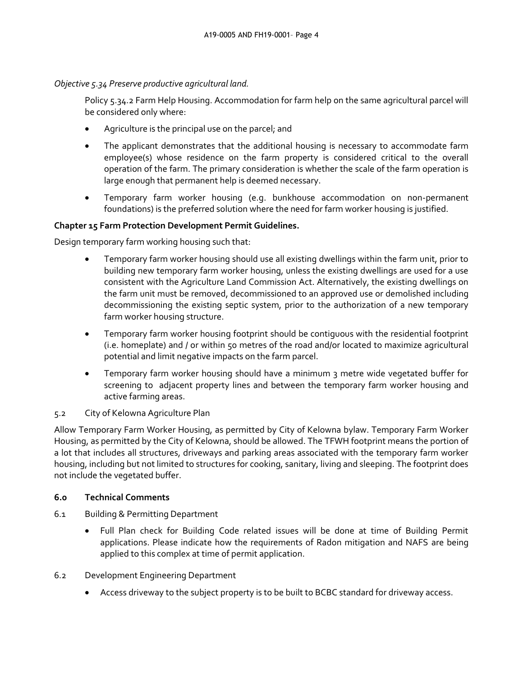*Objective 5.34 Preserve productive agricultural land.*

Policy 5.34.2 Farm Help Housing. Accommodation for farm help on the same agricultural parcel will be considered only where:

- Agriculture is the principal use on the parcel; and
- The applicant demonstrates that the additional housing is necessary to accommodate farm employee(s) whose residence on the farm property is considered critical to the overall operation of the farm. The primary consideration is whether the scale of the farm operation is large enough that permanent help is deemed necessary.
- Temporary farm worker housing (e.g. bunkhouse accommodation on non-permanent foundations) is the preferred solution where the need for farm worker housing is justified.

### **Chapter 15 Farm Protection Development Permit Guidelines.**

Design temporary farm working housing such that:

- Temporary farm worker housing should use all existing dwellings within the farm unit, prior to building new temporary farm worker housing, unless the existing dwellings are used for a use consistent with the Agriculture Land Commission Act. Alternatively, the existing dwellings on the farm unit must be removed, decommissioned to an approved use or demolished including decommissioning the existing septic system, prior to the authorization of a new temporary farm worker housing structure.
- Temporary farm worker housing footprint should be contiguous with the residential footprint (i.e. homeplate) and / or within 50 metres of the road and/or located to maximize agricultural potential and limit negative impacts on the farm parcel.
- Temporary farm worker housing should have a minimum 3 metre wide vegetated buffer for screening to adjacent property lines and between the temporary farm worker housing and active farming areas.

### 5.2 City of Kelowna Agriculture Plan

Allow Temporary Farm Worker Housing, as permitted by City of Kelowna bylaw. Temporary Farm Worker Housing, as permitted by the City of Kelowna, should be allowed. The TFWH footprint means the portion of a lot that includes all structures, driveways and parking areas associated with the temporary farm worker housing, including but not limited to structures for cooking, sanitary, living and sleeping. The footprint does not include the vegetated buffer.

### **6.0 Technical Comments**

- 6.1 Building & Permitting Department
	- Full Plan check for Building Code related issues will be done at time of Building Permit applications. Please indicate how the requirements of Radon mitigation and NAFS are being applied to this complex at time of permit application.
- 6.2 Development Engineering Department
	- Access driveway to the subject property is to be built to BCBC standard for driveway access.